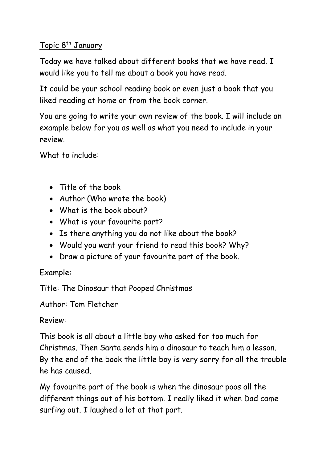## <u>Topic 8<sup>th</sup> January</u>

Today we have talked about different books that we have read. I would like you to tell me about a book you have read.

It could be your school reading book or even just a book that you liked reading at home or from the book corner.

You are going to write your own review of the book. I will include an example below for you as well as what you need to include in your review.

What to include:

- Title of the book
- Author (Who wrote the book)
- What is the book about?
- What is your favourite part?
- Is there anything you do not like about the book?
- Would you want your friend to read this book? Why?
- Draw a picture of your favourite part of the book.

## Example:

Title: The Dinosaur that Pooped Christmas

Author: Tom Fletcher

Review:

This book is all about a little boy who asked for too much for Christmas. Then Santa sends him a dinosaur to teach him a lesson. By the end of the book the little boy is very sorry for all the trouble he has caused.

My favourite part of the book is when the dinosaur poos all the different things out of his bottom. I really liked it when Dad came surfing out. I laughed a lot at that part.